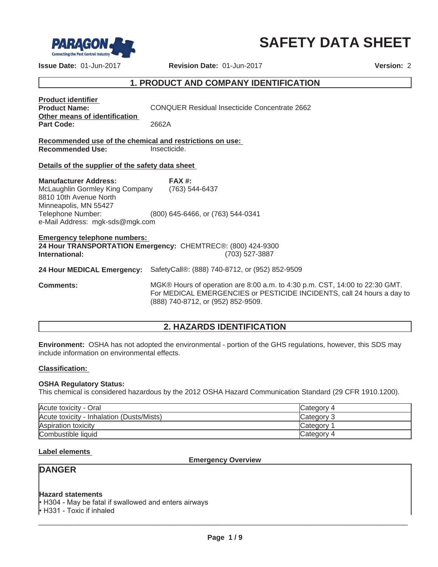

# **SAFETY DATA SHEET**

**Issue Date:** 01-Jun-2017 **Revision Date:** 01-Jun-2017 **Version:** 2

# **1. PRODUCT AND COMPANY IDENTIFICATION**

| <b>Product identifier</b><br><b>Product Name:</b><br>Other means of identification                                                                                         | CONQUER Residual Insecticide Concentrate 2662                                                                                                                                               |
|----------------------------------------------------------------------------------------------------------------------------------------------------------------------------|---------------------------------------------------------------------------------------------------------------------------------------------------------------------------------------------|
| <b>Part Code:</b>                                                                                                                                                          | 2662A                                                                                                                                                                                       |
| Recommended use of the chemical and restrictions on use:<br><b>Recommended Use:</b>                                                                                        | Insecticide.                                                                                                                                                                                |
| Details of the supplier of the safety data sheet                                                                                                                           |                                                                                                                                                                                             |
| <b>Manufacturer Address:</b><br>McLaughlin Gormley King Company<br>8810 10th Avenue North<br>Minneapolis, MN 55427<br>Telephone Number:<br>e-Mail Address: mgk-sds@mgk.com | FAX#<br>(763) 544-6437<br>(800) 645-6466, or (763) 544-0341                                                                                                                                 |
| <b>Emergency telephone numbers:</b><br>International:                                                                                                                      | 24 Hour TRANSPORTATION Emergency: CHEMTREC®: (800) 424-9300<br>(703) 527-3887                                                                                                               |
| 24 Hour MEDICAL Emergency:                                                                                                                                                 | SafetyCall®: (888) 740-8712, or (952) 852-9509                                                                                                                                              |
| <b>Comments:</b>                                                                                                                                                           | MGK® Hours of operation are 8:00 a.m. to 4:30 p.m. CST, 14:00 to 22:30 GMT.<br>For MEDICAL EMERGENCIES or PESTICIDE INCIDENTS, call 24 hours a day to<br>(888) 740-8712, or (952) 852-9509. |

# **2. HAZARDS IDENTIFICATION**

**Environment:** OSHA has not adopted the environmental - portion of the GHS regulations, however, this SDS may include information on environmental effects.

#### **Classification:**

#### **OSHA Regulatory Status:**

This chemical is considered hazardous by the 2012 OSHA Hazard Communication Standard (29 CFR 1910.1200).

| Acute toxicity - Oral                     | Category 4 |
|-------------------------------------------|------------|
| Acute toxicity - Inhalation (Dusts/Mists) | Category 3 |
| Aspiration toxicity                       | Category   |
| Combustible liquid                        | Category 4 |

#### **Label elements**

**Emergency Overview**

# **DANGER**

#### **Hazard statements**

 $\cdot$  H304 - May be fatal if swallowed and enters airways  $\cdot$  H331 - Toxic if inhaled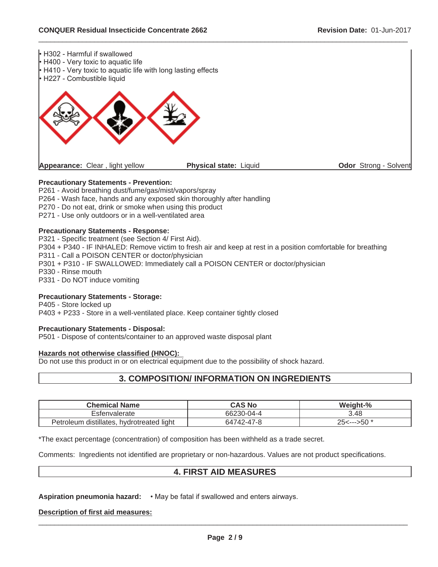

 $\_$  ,  $\_$  ,  $\_$  ,  $\_$  ,  $\_$  ,  $\_$  ,  $\_$  ,  $\_$  ,  $\_$  ,  $\_$  ,  $\_$  ,  $\_$  ,  $\_$  ,  $\_$  ,  $\_$  ,  $\_$  ,  $\_$  ,  $\_$  ,  $\_$  ,  $\_$  ,  $\_$  ,  $\_$  ,  $\_$  ,  $\_$  ,  $\_$  ,  $\_$  ,  $\_$  ,  $\_$  ,  $\_$  ,  $\_$  ,  $\_$  ,  $\_$  ,  $\_$  ,  $\_$  ,  $\_$  ,  $\_$  ,  $\_$  ,

#### **Precautionary Statements - Prevention:**

P261 - Avoid breathing dust/fume/gas/mist/vapors/spray P264 - Wash face, hands and any exposed skin thoroughly after handling P270 - Do not eat, drink or smoke when using this product

P271 - Use only outdoors or in a well-ventilated area

#### **Precautionary Statements - Response:**

P321 - Specific treatment (see Section 4/ First Aid). P304 + P340 - IF INHALED: Remove victim to fresh air and keep at rest in a position comfortable for breathing P311 - Call a POISON CENTER or doctor/physician P301 + P310 - IF SWALLOWED: Immediately call a POISON CENTER or doctor/physician P330 - Rinse mouth P331 - Do NOT induce vomiting

#### **Precautionary Statements - Storage:**

P405 - Store locked up P403 + P233 - Store in a well-ventilated place. Keep container tightly closed

#### **Precautionary Statements - Disposal:**

P501 - Dispose of contents/container to an approved waste disposal plant

#### **Hazards not otherwise classified (HNOC):**

Do not use this product in or on electrical equipment due to the possibility of shock hazard.

# **3. COMPOSITION/ INFORMATION ON INGREDIENTS**

| <b>Chemical Name</b>                      | CAS No     | Weight-%                         |
|-------------------------------------------|------------|----------------------------------|
| Esfenvalerate                             | 66230-04-4 | 3.48                             |
| Petroleum distillates, hydrotreated light | 64742-47-8 | $25 \leftarrow \rightarrow 50^*$ |

\*The exact percentage (concentration) of composition has been withheld as a trade secret.

Comments: Ingredients not identified are proprietary or non-hazardous. Values are not product specifications.

### **4. FIRST AID MEASURES**

**Aspiration pneumonia hazard:**  $\cdot$  May be fatal if swallowed and enters airways.

#### **Description of first aid measures:**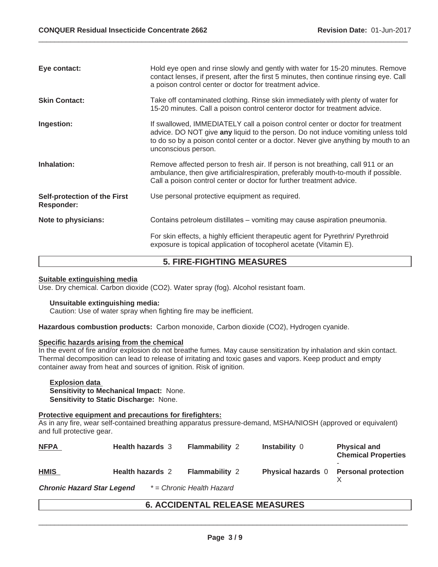| Eye contact:                                      | Hold eye open and rinse slowly and gently with water for 15-20 minutes. Remove<br>contact lenses, if present, after the first 5 minutes, then continue rinsing eye. Call<br>a poison control center or doctor for treatment advice.                                             |
|---------------------------------------------------|---------------------------------------------------------------------------------------------------------------------------------------------------------------------------------------------------------------------------------------------------------------------------------|
| <b>Skin Contact:</b>                              | Take off contaminated clothing. Rinse skin immediately with plenty of water for<br>15-20 minutes. Call a poison control centeror doctor for treatment advice.                                                                                                                   |
| Ingestion:                                        | If swallowed, IMMEDIATELY call a poison control center or doctor for treatment<br>advice. DO NOT give any liquid to the person. Do not induce vomiting unless told<br>to do so by a poison contol center or a doctor. Never give anything by mouth to an<br>unconscious person. |
| Inhalation:                                       | Remove affected person to fresh air. If person is not breathing, call 911 or an<br>ambulance, then give artificial respiration, preferably mouth-to-mouth if possible.<br>Call a poison control center or doctor for further treatment advice.                                  |
| Self-protection of the First<br><b>Responder:</b> | Use personal protective equipment as required.                                                                                                                                                                                                                                  |
| Note to physicians:                               | Contains petroleum distillates – vomiting may cause aspiration pneumonia.                                                                                                                                                                                                       |
|                                                   | For skin effects, a highly efficient therapeutic agent for Pyrethrin/ Pyrethroid<br>exposure is topical application of tocopherol acetate (Vitamin E).                                                                                                                          |

 $\_$  ,  $\_$  ,  $\_$  ,  $\_$  ,  $\_$  ,  $\_$  ,  $\_$  ,  $\_$  ,  $\_$  ,  $\_$  ,  $\_$  ,  $\_$  ,  $\_$  ,  $\_$  ,  $\_$  ,  $\_$  ,  $\_$  ,  $\_$  ,  $\_$  ,  $\_$  ,  $\_$  ,  $\_$  ,  $\_$  ,  $\_$  ,  $\_$  ,  $\_$  ,  $\_$  ,  $\_$  ,  $\_$  ,  $\_$  ,  $\_$  ,  $\_$  ,  $\_$  ,  $\_$  ,  $\_$  ,  $\_$  ,  $\_$  ,

# **5. FIRE-FIGHTING MEASURES**

#### **Suitable extinguishing media**

Use. Dry chemical. Carbon dioxide (CO2). Water spray (fog). Alcohol resistant foam.

### **Unsuitable extinguishing media:**

Caution: Use of water spray when fighting fire may be inefficient.

**Hazardous combustion products:** Carbon monoxide, Carbon dioxide (CO2), Hydrogen cyanide.

#### **Specific hazards arising from the chemical**

In the event of fire and/or explosion do not breathe fumes. May cause sensitization by inhalation and skin contact. Thermal decomposition can lead to release of irritating and toxic gases and vapors. Keep product and empty container away from heat and sources of ignition. Risk of ignition.

**Explosion data Sensitivity to Mechanical Impact:** None. **Sensitivity to Static Discharge:** None.

#### **Protective equipment and precautions for firefighters:**

As in any fire, wear self-contained breathing apparatus pressure-demand, MSHA/NIOSH (approved or equivalent) and full protective gear.

| <b>NFPA</b> | <b>Health hazards</b> 3 | <b>Flammability 2</b> | Instability 0                          | <b>Physical and</b><br><b>Chemical Properties</b> |
|-------------|-------------------------|-----------------------|----------------------------------------|---------------------------------------------------|
| <b>HMIS</b> | <b>Health hazards 2</b> | <b>Flammability 2</b> | Physical hazards 0 Personal protection |                                                   |

**Chronic Hazard Star Legend** *\* = Chronic Health Hazard*

# **6. ACCIDENTAL RELEASE MEASURES**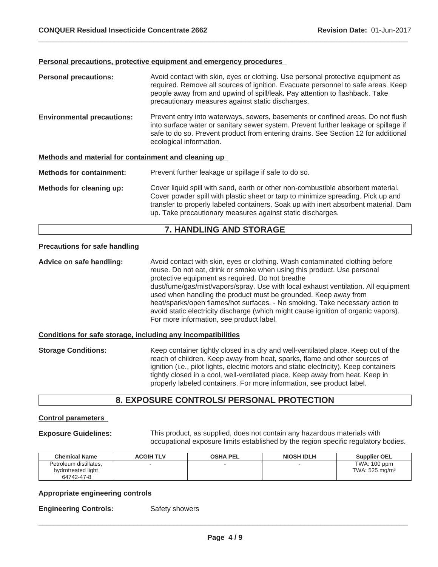#### **Personal precautions, protective equipment and emergency procedures**

**Personal precautions:** Avoid contact with skin, eyes or clothing. Use personal protective equipment as required. Remove all sources of ignition. Evacuate personnel to safe areas. Keep people away from and upwind of spill/leak. Pay attention to flashback. Take precautionary measures against static discharges. **Environmental precautions:** Prevent entry into waterways, sewers, basements or confined areas. Do not flush into surface water or sanitary sewer system. Prevent further leakage or spillage if safe to do so. Prevent product from entering drains. See Section 12 for additional ecological information. **Methods and material for containment and cleaning up Methods for containment:** Prevent further leakage or spillage if safe to do so. **Methods for cleaning up:** Cover liquid spill with sand, earth or other non-combustible absorbent material. Cover powder spill with plastic sheet or tarp to minimize spreading. Pick up and transfer to properly labeled containers. Soak up with inert absorbent material. Dam up. Take precautionary measures against static discharges.

 $\_$  ,  $\_$  ,  $\_$  ,  $\_$  ,  $\_$  ,  $\_$  ,  $\_$  ,  $\_$  ,  $\_$  ,  $\_$  ,  $\_$  ,  $\_$  ,  $\_$  ,  $\_$  ,  $\_$  ,  $\_$  ,  $\_$  ,  $\_$  ,  $\_$  ,  $\_$  ,  $\_$  ,  $\_$  ,  $\_$  ,  $\_$  ,  $\_$  ,  $\_$  ,  $\_$  ,  $\_$  ,  $\_$  ,  $\_$  ,  $\_$  ,  $\_$  ,  $\_$  ,  $\_$  ,  $\_$  ,  $\_$  ,  $\_$  ,

# **7. HANDLING AND STORAGE**

#### **Precautions for safe handling**

**Advice on safe handling:** Avoid contact with skin, eyes or clothing. Wash contaminated clothing before reuse. Do not eat, drink or smoke when using this product. Use personal protective equipment as required. Do not breathe dust/fume/gas/mist/vapors/spray. Use with local exhaust ventilation. All equipment used when handling the product must be grounded. Keep away from heat/sparks/open flames/hot surfaces. - No smoking. Take necessary action to avoid static electricity discharge (which might cause ignition of organic vapors). For more information, see product label.

#### **Conditions for safe storage, including any incompatibilities**

**Storage Conditions:** Keep container tightly closed in a dry and well-ventilated place. Keep out of the reach of children. Keep away from heat, sparks, flame and other sources of ignition (i.e., pilot lights, electric motors and static electricity). Keep containers tightly closed in a cool, well-ventilated place. Keep away from heat. Keep in properly labeled containers. For more information, see product label.

### **8. EXPOSURE CONTROLS/ PERSONAL PROTECTION**

#### **Control parameters**

**Exposure Guidelines:** This product, as supplied, does not contain any hazardous materials with occupational exposure limits established by the region specific regulatory bodies.

| <b>Chemical Name</b>   | <b>ACGIH TLV</b> | <b>OSHA PEL</b> | <b>NIOSH IDLH</b> | <b>Supplier OEL</b>          |
|------------------------|------------------|-----------------|-------------------|------------------------------|
| Petroleum distillates. |                  |                 |                   | TWA: 100 ppm                 |
| hydrotreated light     |                  |                 |                   | TWA: $525$ mg/m <sup>3</sup> |
| 64742-47-8             |                  |                 |                   |                              |

#### **Appropriate engineering controls**

**Engineering Controls:** Safety showers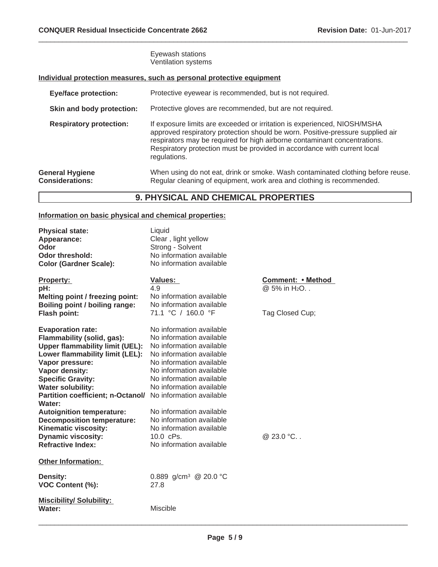#### Eyewash stations Ventilation systems

# **Individual protection measures, such as personal protective equipment**

| <b>Eye/face protection:</b>                      | Protective eyewear is recommended, but is not required.                                                                                                                                                                                                                                                                             |
|--------------------------------------------------|-------------------------------------------------------------------------------------------------------------------------------------------------------------------------------------------------------------------------------------------------------------------------------------------------------------------------------------|
| Skin and body protection:                        | Protective gloves are recommended, but are not required.                                                                                                                                                                                                                                                                            |
| <b>Respiratory protection:</b>                   | If exposure limits are exceeded or irritation is experienced, NIOSH/MSHA<br>approved respiratory protection should be worn. Positive-pressure supplied air<br>respirators may be required for high airborne contaminant concentrations.<br>Respiratory protection must be provided in accordance with current local<br>regulations. |
| <b>General Hygiene</b><br><b>Considerations:</b> | When using do not eat, drink or smoke. Wash contaminated clothing before reuse.<br>Regular cleaning of equipment, work area and clothing is recommended.                                                                                                                                                                            |

 $\_$  ,  $\_$  ,  $\_$  ,  $\_$  ,  $\_$  ,  $\_$  ,  $\_$  ,  $\_$  ,  $\_$  ,  $\_$  ,  $\_$  ,  $\_$  ,  $\_$  ,  $\_$  ,  $\_$  ,  $\_$  ,  $\_$  ,  $\_$  ,  $\_$  ,  $\_$  ,  $\_$  ,  $\_$  ,  $\_$  ,  $\_$  ,  $\_$  ,  $\_$  ,  $\_$  ,  $\_$  ,  $\_$  ,  $\_$  ,  $\_$  ,  $\_$  ,  $\_$  ,  $\_$  ,  $\_$  ,  $\_$  ,  $\_$  ,

# **9. PHYSICAL AND CHEMICAL PROPERTIES**

# **Information on basic physical and chemical properties:**

| <b>Physical state:</b><br>Appearance:<br>Odor<br><b>Odor threshold:</b><br><b>Color (Gardner Scale):</b>                                                                                                                                                                                                                                                                                                             | Liquid<br>Clear, light yellow<br>Strong - Solvent<br>No information available<br>No information available                                                                                                                                                                                                                                                 |                                                                  |
|----------------------------------------------------------------------------------------------------------------------------------------------------------------------------------------------------------------------------------------------------------------------------------------------------------------------------------------------------------------------------------------------------------------------|-----------------------------------------------------------------------------------------------------------------------------------------------------------------------------------------------------------------------------------------------------------------------------------------------------------------------------------------------------------|------------------------------------------------------------------|
| <b>Property:</b><br>pH:<br><b>Melting point / freezing point:</b><br>Boiling point / boiling range:<br>Flash point:                                                                                                                                                                                                                                                                                                  | <b>Values:</b><br>4.9<br>No information available<br>No information available<br>71.1 °C / 160.0 °F                                                                                                                                                                                                                                                       | Comment: • Method<br>@ 5% in H <sub>2</sub> O<br>Tag Closed Cup; |
| <b>Evaporation rate:</b><br>Flammability (solid, gas):<br><b>Upper flammability limit (UEL):</b><br>Lower flammability limit (LEL):<br>Vapor pressure:<br>Vapor density:<br><b>Specific Gravity:</b><br><b>Water solubility:</b><br><b>Partition coefficient; n-Octanol/</b><br>Water:<br><b>Autoignition temperature:</b><br><b>Decomposition temperature:</b><br>Kinematic viscosity:<br><b>Dynamic viscosity:</b> | No information available<br>No information available<br>No information available<br>No information available<br>No information available<br>No information available<br>No information available<br>No information available<br>No information available<br>No information available<br>No information available<br>No information available<br>10.0 cPs. | @ 23.0 °C                                                        |
| <b>Refractive Index:</b><br><b>Other Information:</b>                                                                                                                                                                                                                                                                                                                                                                | No information available                                                                                                                                                                                                                                                                                                                                  |                                                                  |
| <b>Density:</b><br>VOC Content (%):                                                                                                                                                                                                                                                                                                                                                                                  | 0.889 g/cm <sup>3</sup> @ 20.0 °C<br>27.8                                                                                                                                                                                                                                                                                                                 |                                                                  |
| <b>Miscibility/ Solubility:</b><br>Water:                                                                                                                                                                                                                                                                                                                                                                            | Miscible                                                                                                                                                                                                                                                                                                                                                  |                                                                  |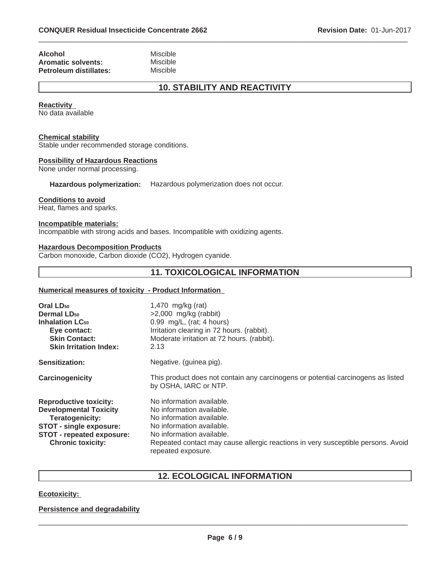| <b>Alcohol</b>            | Miscible |
|---------------------------|----------|
| <b>Aromatic solvents:</b> | Miscible |
| Petroleum distillates:    | Miscible |

# **10. STABILITY AND REACTIVITY**

 $\_$  ,  $\_$  ,  $\_$  ,  $\_$  ,  $\_$  ,  $\_$  ,  $\_$  ,  $\_$  ,  $\_$  ,  $\_$  ,  $\_$  ,  $\_$  ,  $\_$  ,  $\_$  ,  $\_$  ,  $\_$  ,  $\_$  ,  $\_$  ,  $\_$  ,  $\_$  ,  $\_$  ,  $\_$  ,  $\_$  ,  $\_$  ,  $\_$  ,  $\_$  ,  $\_$  ,  $\_$  ,  $\_$  ,  $\_$  ,  $\_$  ,  $\_$  ,  $\_$  ,  $\_$  ,  $\_$  ,  $\_$  ,  $\_$  ,

#### **Reactivity**

No data available

#### **Chemical stability**

Stable under recommended storage conditions.

#### **Possibility of Hazardous Reactions**

None under normal processing.

**Hazardous polymerization:** Hazardous polymerization does not occur.

#### **Conditions to avoid**

Heat, flames and sparks.

#### **Incompatible materials:**

Incompatible with strong acids and bases. Incompatible with oxidizing agents.

#### **Hazardous Decomposition Products**

Carbon monoxide, Carbon dioxide (CO2), Hydrogen cyanide.

# **11. TOXICOLOGICAL INFORMATION**

#### **Numerical measures of toxicity - Product Information**

| Oral LD <sub>50</sub><br>Dermal LD <sub>50</sub><br><b>Inhalation LC<sub>50</sub></b><br>Eye contact:<br><b>Skin Contact:</b><br><b>Skin Irritation Index:</b>                      | 1,470 $mg/kg$ (rat)<br>$>2,000$ mg/kg (rabbit)<br>$0.99$ mg/L, (rat; 4 hours)<br>Irritation clearing in 72 hours. (rabbit).<br>Moderate irritation at 72 hours. (rabbit).<br>2.13                                                                       |
|-------------------------------------------------------------------------------------------------------------------------------------------------------------------------------------|---------------------------------------------------------------------------------------------------------------------------------------------------------------------------------------------------------------------------------------------------------|
| <b>Sensitization:</b>                                                                                                                                                               | Negative. (guinea pig).                                                                                                                                                                                                                                 |
| Carcinogenicity                                                                                                                                                                     | This product does not contain any carcinogens or potential carcinogens as listed<br>by OSHA, IARC or NTP.                                                                                                                                               |
| <b>Reproductive toxicity:</b><br><b>Developmental Toxicity</b><br><b>Teratogenicity:</b><br><b>STOT - single exposure:</b><br>STOT - repeated exposure:<br><b>Chronic toxicity:</b> | No information available.<br>No information available.<br>No information available.<br>No information available.<br>No information available.<br>Repeated contact may cause allergic reactions in very susceptible persons. Avoid<br>repeated exposure. |

# **12. ECOLOGICAL INFORMATION**

#### **Ecotoxicity:**

#### **Persistence and degradability**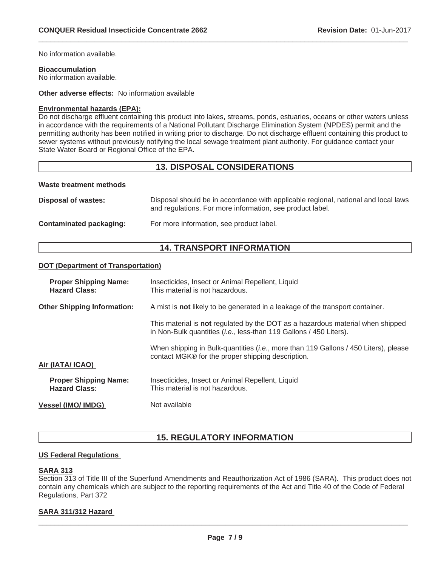No information available.

#### **Bioaccumulation**

No information available.

**Other adverse effects:** No information available

#### **Environmental hazards (EPA):**

Do not discharge effluent containing this product into lakes, streams, ponds, estuaries, oceans or other waters unless in accordance with the requirements of a National Pollutant Discharge Elimination System (NPDES) permit and the permitting authority has been notified in writing prior to discharge. Do not discharge effluent containing this product to sewer systems without previously notifying the local sewage treatment plant authority. For guidance contact your State Water Board or Regional Office of the EPA.

 $\_$  ,  $\_$  ,  $\_$  ,  $\_$  ,  $\_$  ,  $\_$  ,  $\_$  ,  $\_$  ,  $\_$  ,  $\_$  ,  $\_$  ,  $\_$  ,  $\_$  ,  $\_$  ,  $\_$  ,  $\_$  ,  $\_$  ,  $\_$  ,  $\_$  ,  $\_$  ,  $\_$  ,  $\_$  ,  $\_$  ,  $\_$  ,  $\_$  ,  $\_$  ,  $\_$  ,  $\_$  ,  $\_$  ,  $\_$  ,  $\_$  ,  $\_$  ,  $\_$  ,  $\_$  ,  $\_$  ,  $\_$  ,  $\_$  ,

# **13. DISPOSAL CONSIDERATIONS**

#### **Waste treatment methods**

| Disposal of wastes:     | Disposal should be in accordance with applicable regional, national and local laws<br>and regulations. For more information, see product label. |
|-------------------------|-------------------------------------------------------------------------------------------------------------------------------------------------|
| Contaminated packaging: | For more information, see product label.                                                                                                        |

# **14. TRANSPORT INFORMATION**

#### **DOT (Department of Transportation)**

| <b>Proper Shipping Name:</b><br><b>Hazard Class:</b> | Insecticides, Insect or Animal Repellent, Liquid<br>This material is not hazardous.                                                                           |
|------------------------------------------------------|---------------------------------------------------------------------------------------------------------------------------------------------------------------|
| <b>Other Shipping Information:</b>                   | A mist is not likely to be generated in a leakage of the transport container.                                                                                 |
|                                                      | This material is not regulated by the DOT as a hazardous material when shipped<br>in Non-Bulk quantities ( <i>i.e.</i> , less-than 119 Gallons / 450 Liters). |
| Air (IATA/ ICAO)                                     | When shipping in Bulk-quantities <i>(i.e., more than 119 Gallons / 450 Liters), please</i><br>contact MGK® for the proper shipping description.               |
| <b>Proper Shipping Name:</b><br><b>Hazard Class:</b> | Insecticides, Insect or Animal Repellent, Liquid<br>This material is not hazardous.                                                                           |
| <b>Vessel (IMO/ IMDG)</b>                            | Not available                                                                                                                                                 |

# **15. REGULATORY INFORMATION**

#### **US Federal Regulations**

#### **SARA 313**

Section 313 of Title III of the Superfund Amendments and Reauthorization Act of 1986 (SARA). This product does not contain any chemicals which are subject to the reporting requirements of the Act and Title 40 of the Code of Federal Regulations, Part 372

#### **SARA 311/312 Hazard**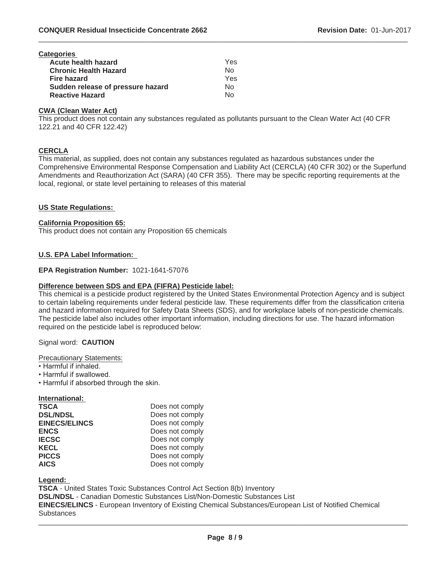| <b>Categories</b>                 |     |
|-----------------------------------|-----|
| <b>Acute health hazard</b>        | Yes |
| <b>Chronic Health Hazard</b>      | No  |
| <b>Fire hazard</b>                | Yes |
| Sudden release of pressure hazard | N٥  |
| <b>Reactive Hazard</b>            | N٥  |

#### **CWA (Clean Water Act)**

This product does not contain any substances regulated as pollutants pursuant to the Clean Water Act (40 CFR 122.21 and 40 CFR 122.42)

 $\_$  ,  $\_$  ,  $\_$  ,  $\_$  ,  $\_$  ,  $\_$  ,  $\_$  ,  $\_$  ,  $\_$  ,  $\_$  ,  $\_$  ,  $\_$  ,  $\_$  ,  $\_$  ,  $\_$  ,  $\_$  ,  $\_$  ,  $\_$  ,  $\_$  ,  $\_$  ,  $\_$  ,  $\_$  ,  $\_$  ,  $\_$  ,  $\_$  ,  $\_$  ,  $\_$  ,  $\_$  ,  $\_$  ,  $\_$  ,  $\_$  ,  $\_$  ,  $\_$  ,  $\_$  ,  $\_$  ,  $\_$  ,  $\_$  ,

#### **CERCLA**

This material, as supplied, does not contain any substances regulated as hazardous substances under the Comprehensive Environmental Response Compensation and Liability Act (CERCLA) (40 CFR 302) or the Superfund Amendments and Reauthorization Act (SARA) (40 CFR 355). There may be specific reporting requirements at the local, regional, or state level pertaining to releases of this material

#### **US State Regulations:**

#### **California Proposition 65:**

This product does not contain any Proposition 65 chemicals

#### **U.S. EPA Label Information:**

#### **EPA Registration Number:** 1021-1641-57076

#### **Difference between SDS and EPA (FIFRA) Pesticide label:**

This chemical is a pesticide product registered by the United States Environmental Protection Agency and is subject to certain labeling requirements under federal pesticide law. These requirements differ from the classification criteria and hazard information required for Safety Data Sheets (SDS), and for workplace labels of non-pesticide chemicals. The pesticide label also includes other important information, including directions for use. The hazard information required on the pesticide label is reproduced below:

#### Signal word: **CAUTION**

Precautionary Statements:

- Harmful if inhaled.
- Harmful if swallowed.
- Harmful if absorbed through the skin.

#### **International:**

| <b>TSCA</b>          | Does not comply |
|----------------------|-----------------|
| <b>DSL/NDSL</b>      | Does not comply |
| <b>EINECS/ELINCS</b> | Does not comply |
| <b>ENCS</b>          | Does not comply |
| <b>IECSC</b>         | Does not comply |
| <b>KECL</b>          | Does not comply |
| <b>PICCS</b>         | Does not comply |
| <b>AICS</b>          | Does not comply |

#### **Legend:**

**TSCA** - United States Toxic Substances Control Act Section 8(b) Inventory **DSL/NDSL** - Canadian Domestic Substances List/Non-Domestic Substances List **EINECS/ELINCS** - European Inventory of Existing Chemical Substances/European List of Notified Chemical **Substances**